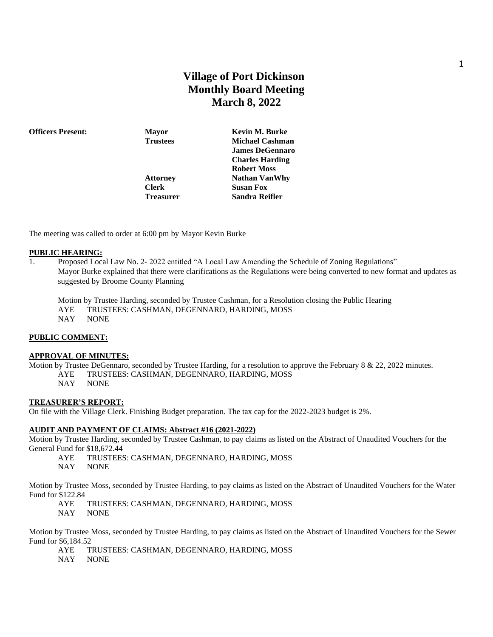# **Village of Port Dickinson Monthly Board Meeting March 8, 2022**

**Officers Present: Mayor Kevin M. Burke Trustees Michael Cashman James DeGennaro Charles Harding Robert Moss Attorney Nathan VanWhy Clerk Susan Fox Treasurer Sandra Reifler**

The meeting was called to order at 6:00 pm by Mayor Kevin Burke

#### **PUBLIC HEARING:**

1. Proposed Local Law No. 2- 2022 entitled "A Local Law Amending the Schedule of Zoning Regulations" Mayor Burke explained that there were clarifications as the Regulations were being converted to new format and updates as suggested by Broome County Planning

Motion by Trustee Harding, seconded by Trustee Cashman, for a Resolution closing the Public Hearing AYE TRUSTEES: CASHMAN, DEGENNARO, HARDING, MOSS

NAY NONE

### **PUBLIC COMMENT:**

#### **APPROVAL OF MINUTES:**

Motion by Trustee DeGennaro, seconded by Trustee Harding, for a resolution to approve the February 8 & 22, 2022 minutes. AYE TRUSTEES: CASHMAN, DEGENNARO, HARDING, MOSS

NAY NONE

### **TREASURER'S REPORT:**

On file with the Village Clerk. Finishing Budget preparation. The tax cap for the 2022-2023 budget is 2%.

### **AUDIT AND PAYMENT OF CLAIMS: Abstract #16 (2021-2022)**

Motion by Trustee Harding, seconded by Trustee Cashman, to pay claims as listed on the Abstract of Unaudited Vouchers for the General Fund for \$18,672.44

- AYE TRUSTEES: CASHMAN, DEGENNARO, HARDING, MOSS
- NAY NONE

Motion by Trustee Moss, seconded by Trustee Harding, to pay claims as listed on the Abstract of Unaudited Vouchers for the Water Fund for \$122.84

AYE TRUSTEES: CASHMAN, DEGENNARO, HARDING, MOSS

NAY NONE

Motion by Trustee Moss, seconded by Trustee Harding, to pay claims as listed on the Abstract of Unaudited Vouchers for the Sewer Fund for \$6,184.52

- AYE TRUSTEES: CASHMAN, DEGENNARO, HARDING, MOSS
- NAY NONE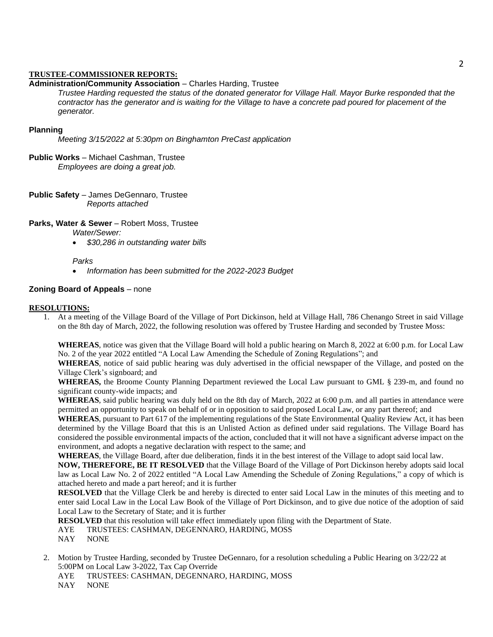### **TRUSTEE-COMMISSIONER REPORTS:**

### **Administration/Community Association** – Charles Harding, Trustee

*Trustee Harding requested the status of the donated generator for Village Hall. Mayor Burke responded that the contractor has the generator and is waiting for the Village to have a concrete pad poured for placement of the generator.*

### **Planning**

*Meeting 3/15/2022 at 5:30pm on Binghamton PreCast application*

- **Public Works** Michael Cashman, Trustee *Employees are doing a great job.*
- **Public Safety** James DeGennaro, Trustee *Reports attached*

**Parks, Water & Sewer** – Robert Moss, Trustee

*Water/Sewer:* 

• *\$30,286 in outstanding water bills*

### *Parks*

• *Information has been submitted for the 2022-2023 Budget*

### **Zoning Board of Appeals** – none

#### **RESOLUTIONS:**

1. At a meeting of the Village Board of the Village of Port Dickinson, held at Village Hall, 786 Chenango Street in said Village on the 8th day of March, 2022, the following resolution was offered by Trustee Harding and seconded by Trustee Moss:

**WHEREAS**, notice was given that the Village Board will hold a public hearing on March 8, 2022 at 6:00 p.m. for Local Law No. 2 of the year 2022 entitled "A Local Law Amending the Schedule of Zoning Regulations"; and

**WHEREAS**, notice of said public hearing was duly advertised in the official newspaper of the Village, and posted on the Village Clerk's signboard; and

**WHEREAS,** the Broome County Planning Department reviewed the Local Law pursuant to GML § 239-m, and found no significant county-wide impacts; and

**WHEREAS**, said public hearing was duly held on the 8th day of March, 2022 at 6:00 p.m. and all parties in attendance were permitted an opportunity to speak on behalf of or in opposition to said proposed Local Law, or any part thereof; and

**WHEREAS**, pursuant to Part 617 of the implementing regulations of the State Environmental Quality Review Act, it has been determined by the Village Board that this is an Unlisted Action as defined under said regulations. The Village Board has considered the possible environmental impacts of the action, concluded that it will not have a significant adverse impact on the environment, and adopts a negative declaration with respect to the same; and

**WHEREAS**, the Village Board, after due deliberation, finds it in the best interest of the Village to adopt said local law.

**NOW, THEREFORE, BE IT RESOLVED** that the Village Board of the Village of Port Dickinson hereby adopts said local law as Local Law No. 2 of 2022 entitled "A Local Law Amending the Schedule of Zoning Regulations," a copy of which is attached hereto and made a part hereof; and it is further

**RESOLVED** that the Village Clerk be and hereby is directed to enter said Local Law in the minutes of this meeting and to enter said Local Law in the Local Law Book of the Village of Port Dickinson, and to give due notice of the adoption of said Local Law to the Secretary of State; and it is further

**RESOLVED** that this resolution will take effect immediately upon filing with the Department of State.

- AYE TRUSTEES: CASHMAN, DEGENNARO, HARDING, MOSS
- NAY NONE
- 2. Motion by Trustee Harding, seconded by Trustee DeGennaro, for a resolution scheduling a Public Hearing on 3/22/22 at 5:00PM on Local Law 3-2022, Tax Cap Override
	- AYE TRUSTEES: CASHMAN, DEGENNARO, HARDING, MOSS
	- NAY NONE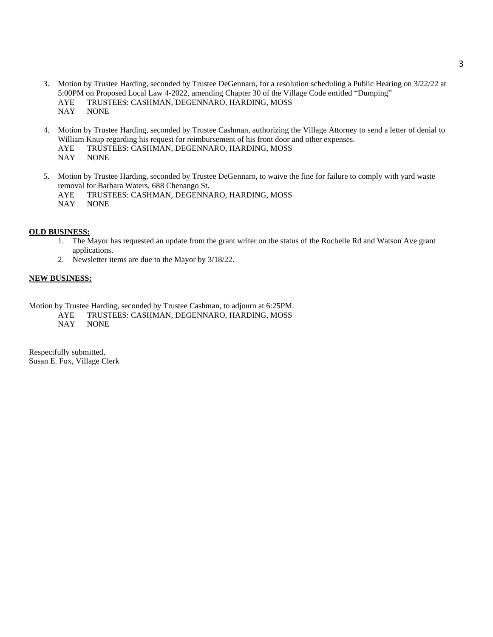- 3. Motion by Trustee Harding, seconded by Trustee DeGennaro, for a resolution scheduling a Public Hearing on 3/22/22 at 5:00PM on Proposed Local Law 4-2022, amending Chapter 30 of the Village Code entitled "Dumping" AYE TRUSTEES: CASHMAN, DEGENNARO, HARDING, MOSS<br>NAY NONE **NONE**
- 4. Motion by Trustee Harding, seconded by Trustee Cashman, authorizing the Village Attorney to send a letter of denial to William Knup regarding his request for reimbursement of his front door and other expenses. AYE TRUSTEES: CASHMAN, DEGENNARO, HARDING, MOSS NAY NONE
- 5. Motion by Trustee Harding, seconded by Trustee DeGennaro, to waive the fine for failure to comply with yard waste removal for Barbara Waters, 688 Chenango St. AYE TRUSTEES: CASHMAN, DEGENNARO, HARDING, MOSS NAY NONE

## **OLD BUSINESS:**

- 1. The Mayor has requested an update from the grant writer on the status of the Rochelle Rd and Watson Ave grant applications.
- 2. Newsletter items are due to the Mayor by 3/18/22.

#### **NEW BUSINESS:**

Motion by Trustee Harding, seconded by Trustee Cashman, to adjourn at 6:25PM.

AYE TRUSTEES: CASHMAN, DEGENNARO, HARDING, MOSS

NAY NONE

Respectfully submitted, Susan E. Fox, Village Clerk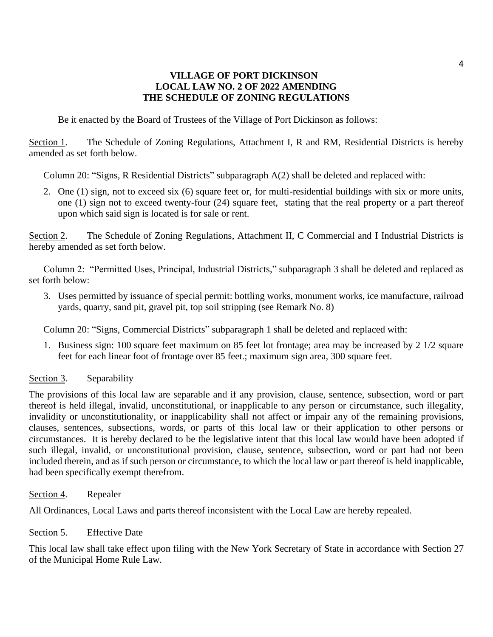# **VILLAGE OF PORT DICKINSON LOCAL LAW NO. 2 OF 2022 AMENDING THE SCHEDULE OF ZONING REGULATIONS**

Be it enacted by the Board of Trustees of the Village of Port Dickinson as follows:

Section 1. The Schedule of Zoning Regulations, Attachment I, R and RM, Residential Districts is hereby amended as set forth below.

Column 20: "Signs, R Residential Districts" subparagraph A(2) shall be deleted and replaced with:

2. One (1) sign, not to exceed six (6) square feet or, for multi-residential buildings with six or more units, one (1) sign not to exceed twenty-four (24) square feet, stating that the real property or a part thereof upon which said sign is located is for sale or rent.

Section 2. The Schedule of Zoning Regulations, Attachment II, C Commercial and I Industrial Districts is hereby amended as set forth below.

Column 2: "Permitted Uses, Principal, Industrial Districts," subparagraph 3 shall be deleted and replaced as set forth below:

3. Uses permitted by issuance of special permit: bottling works, monument works, ice manufacture, railroad yards, quarry, sand pit, gravel pit, top soil stripping (see Remark No. 8)

Column 20: "Signs, Commercial Districts" subparagraph 1 shall be deleted and replaced with:

1. Business sign: 100 square feet maximum on 85 feet lot frontage; area may be increased by 2 1/2 square feet for each linear foot of frontage over 85 feet.; maximum sign area, 300 square feet.

# Section 3. Separability

The provisions of this local law are separable and if any provision, clause, sentence, subsection, word or part thereof is held illegal, invalid, unconstitutional, or inapplicable to any person or circumstance, such illegality, invalidity or unconstitutionality, or inapplicability shall not affect or impair any of the remaining provisions, clauses, sentences, subsections, words, or parts of this local law or their application to other persons or circumstances. It is hereby declared to be the legislative intent that this local law would have been adopted if such illegal, invalid, or unconstitutional provision, clause, sentence, subsection, word or part had not been included therein, and as if such person or circumstance, to which the local law or part thereof is held inapplicable, had been specifically exempt therefrom.

Section 4. Repealer

All Ordinances, Local Laws and parts thereof inconsistent with the Local Law are hereby repealed.

Section 5. Effective Date

This local law shall take effect upon filing with the New York Secretary of State in accordance with Section 27 of the Municipal Home Rule Law.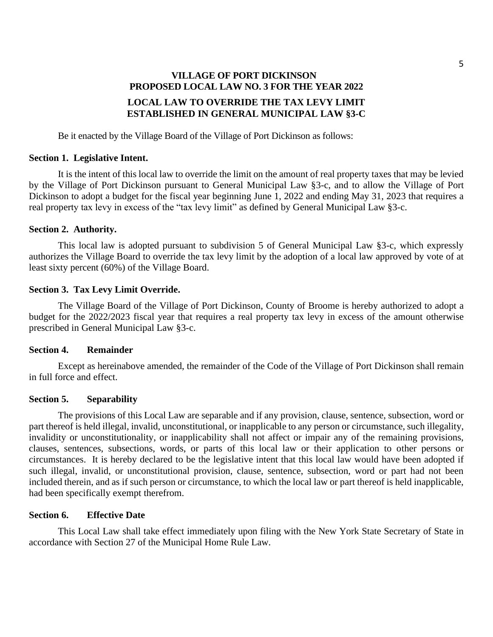# **VILLAGE OF PORT DICKINSON PROPOSED LOCAL LAW NO. 3 FOR THE YEAR 2022 LOCAL LAW TO OVERRIDE THE TAX LEVY LIMIT ESTABLISHED IN GENERAL MUNICIPAL LAW §3-C**

Be it enacted by the Village Board of the Village of Port Dickinson as follows:

## **Section 1. Legislative Intent.**

It is the intent of this local law to override the limit on the amount of real property taxes that may be levied by the Village of Port Dickinson pursuant to General Municipal Law §3-c, and to allow the Village of Port Dickinson to adopt a budget for the fiscal year beginning June 1, 2022 and ending May 31, 2023 that requires a real property tax levy in excess of the "tax levy limit" as defined by General Municipal Law §3-c.

## **Section 2. Authority.**

This local law is adopted pursuant to subdivision 5 of General Municipal Law §3-c, which expressly authorizes the Village Board to override the tax levy limit by the adoption of a local law approved by vote of at least sixty percent (60%) of the Village Board.

## **Section 3. Tax Levy Limit Override.**

The Village Board of the Village of Port Dickinson, County of Broome is hereby authorized to adopt a budget for the 2022/2023 fiscal year that requires a real property tax levy in excess of the amount otherwise prescribed in General Municipal Law §3-c.

### **Section 4. Remainder**

Except as hereinabove amended, the remainder of the Code of the Village of Port Dickinson shall remain in full force and effect.

# **Section 5. Separability**

The provisions of this Local Law are separable and if any provision, clause, sentence, subsection, word or part thereof is held illegal, invalid, unconstitutional, or inapplicable to any person or circumstance, such illegality, invalidity or unconstitutionality, or inapplicability shall not affect or impair any of the remaining provisions, clauses, sentences, subsections, words, or parts of this local law or their application to other persons or circumstances. It is hereby declared to be the legislative intent that this local law would have been adopted if such illegal, invalid, or unconstitutional provision, clause, sentence, subsection, word or part had not been included therein, and as if such person or circumstance, to which the local law or part thereof is held inapplicable, had been specifically exempt therefrom.

# **Section 6. Effective Date**

This Local Law shall take effect immediately upon filing with the New York State Secretary of State in accordance with Section 27 of the Municipal Home Rule Law.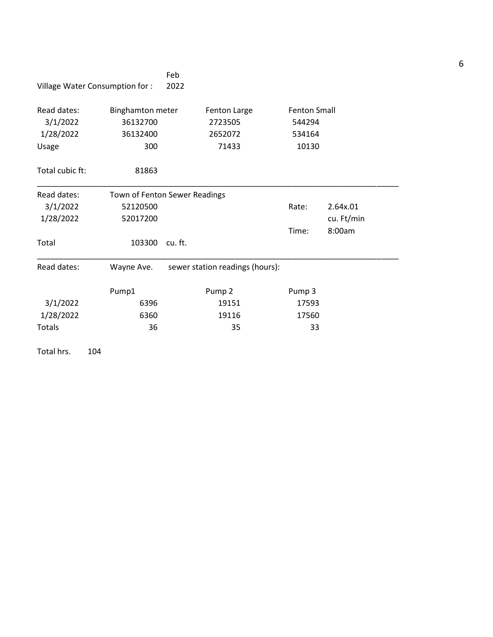|                       | Village Water Consumption for : | Feb<br>2022 |                                 |                     |            |  |
|-----------------------|---------------------------------|-------------|---------------------------------|---------------------|------------|--|
|                       |                                 |             |                                 |                     |            |  |
| Read dates:           | <b>Binghamton meter</b>         |             | Fenton Large                    | <b>Fenton Small</b> |            |  |
| 3/1/2022<br>36132700  |                                 |             | 2723505                         | 544294              |            |  |
| 1/28/2022<br>36132400 |                                 | 2652072     |                                 | 534164              |            |  |
| Usage                 | 300                             |             | 71433                           | 10130               |            |  |
| Total cubic ft:       | 81863                           |             |                                 |                     |            |  |
| Read dates:           | Town of Fenton Sewer Readings   |             |                                 |                     |            |  |
| 3/1/2022              | 52120500                        |             |                                 | Rate:               | 2.64x.01   |  |
| 1/28/2022             | 52017200                        |             |                                 |                     | cu. Ft/min |  |
|                       |                                 |             |                                 | Time:               | 8:00am     |  |
| Total                 | 103300                          | cu.ft.      |                                 |                     |            |  |
| Read dates:           | Wayne Ave.                      |             | sewer station readings (hours): |                     |            |  |
|                       | Pump1                           |             | Pump <sub>2</sub>               | Pump 3              |            |  |
| 3/1/2022              | 6396                            |             | 19151                           | 17593               |            |  |
| 1/28/2022             | 6360                            |             | 19116                           | 17560               |            |  |
| <b>Totals</b>         | 36                              |             | 35                              | 33                  |            |  |
| Total hrs.            | 104                             |             |                                 |                     |            |  |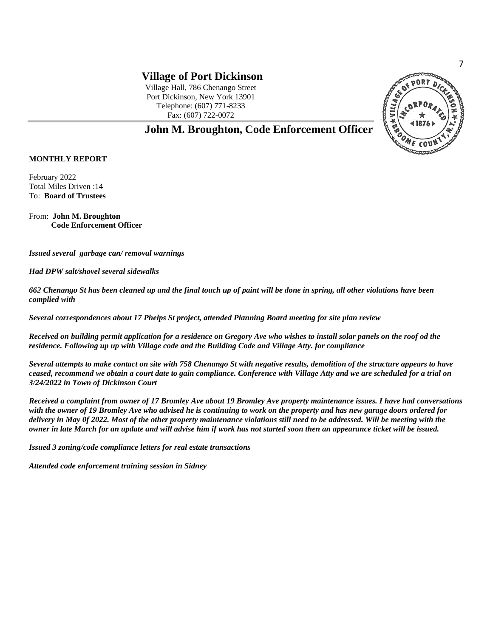Village Hall, 786 Chenango Street Port Dickinson, New York 13901 Telephone: (607) 771-8233 Fax: (607) 722-0072



**John M. Broughton, Code Enforcement Officer**

## **MONTHLY REPORT**

February 2022 Total Miles Driven :14 To: **Board of Trustees**

From: **John M. Broughton Code Enforcement Officer**

*Issued several garbage can/ removal warnings*

*Had DPW salt/shovel several sidewalks*

*662 Chenango St has been cleaned up and the final touch up of paint will be done in spring, all other violations have been complied with*

*Several correspondences about 17 Phelps St project, attended Planning Board meeting for site plan review*

*Received on building permit application for a residence on Gregory Ave who wishes to install solar panels on the roof od the residence. Following up up with Village code and the Building Code and Village Atty. for compliance*

*Several attempts to make contact on site with 758 Chenango St with negative results, demolition of the structure appears to have ceased, recommend we obtain a court date to gain compliance. Conference with Village Atty and we are scheduled for a trial on 3/24/2022 in Town of Dickinson Court*

*Received a complaint from owner of 17 Bromley Ave about 19 Bromley Ave property maintenance issues. I have had conversations with the owner of 19 Bromley Ave who advised he is continuing to work on the property and has new garage doors ordered for delivery in May 0f 2022. Most of the other property maintenance violations still need to be addressed. Will be meeting with the owner in late March for an update and will advise him if work has not started soon then an appearance ticket will be issued.*

*Issued 3 zoning/code compliance letters for real estate transactions*

*Attended code enforcement training session in Sidney* 

7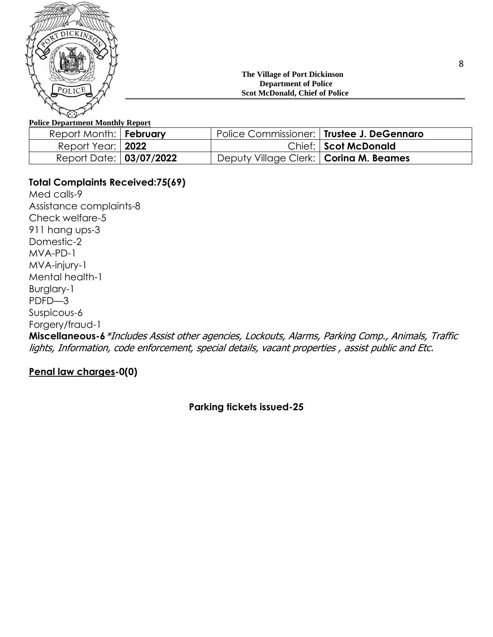

## **The Village of Port Dickinson Department of Police Scot McDonald, Chief of Police**

# **Police Department Monthly Report**

| Report Month:   February |                                          | Police Commissioner:   Trustee J. DeGennaro |
|--------------------------|------------------------------------------|---------------------------------------------|
| Report Year:   2022      |                                          | Chief: Scot McDonald                        |
| Report Date: 03/07/2022  | Deputy Village Clerk:   Corina M. Beames |                                             |

# **Total Complaints Received:75(69)**

Med calls-9 Assistance complaints-8 Check welfare-5 911 hang ups-3 Domestic-2 MVA-PD-1 MVA-injury-1 Mental health-1 Burglary-1 PDFD—3 Suspicous-6 Forgery/fraud-1 **Miscellaneous-6**\*Includes Assist other agencies, Lockouts, Alarms, Parking Comp., Animals, Traffic lights, Information, code enforcement, special details, vacant properties , assist public and Etc.

# **Penal law charges-0(0)**

**Parking tickets issued-25**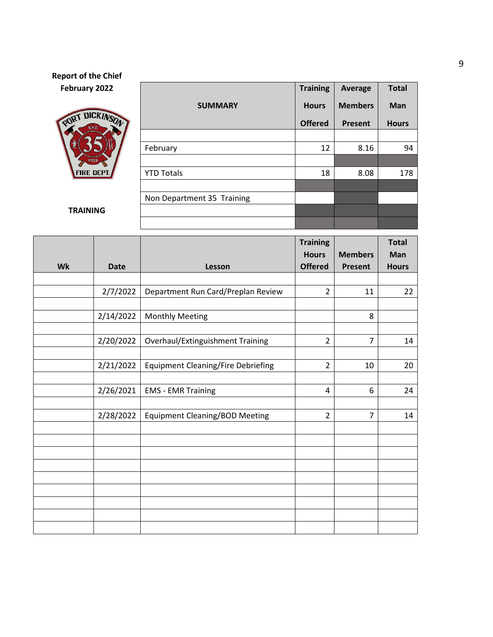# **Report of the Chief February 2022**



**TRAINING**

|                            | <b>Training</b> | <b>Average</b> | <b>Total</b><br>Man |  |
|----------------------------|-----------------|----------------|---------------------|--|
| <b>SUMMARY</b>             | <b>Hours</b>    | <b>Members</b> |                     |  |
|                            | <b>Offered</b>  | <b>Present</b> | <b>Hours</b>        |  |
|                            |                 |                |                     |  |
| February                   | 12              | 8.16           | 94                  |  |
|                            |                 |                |                     |  |
| <b>YTD Totals</b>          | 18              | 8.08           | 178                 |  |
|                            |                 |                |                     |  |
| Non Department 35 Training |                 |                |                     |  |
|                            |                 |                |                     |  |
|                            |                 |                |                     |  |

|    |             |                                           | <b>Training</b> |                | <b>Total</b> |
|----|-------------|-------------------------------------------|-----------------|----------------|--------------|
|    |             |                                           | <b>Hours</b>    | <b>Members</b> | <b>Man</b>   |
| Wk | <b>Date</b> | Lesson                                    | <b>Offered</b>  | <b>Present</b> | <b>Hours</b> |
|    |             |                                           |                 |                |              |
|    | 2/7/2022    | Department Run Card/Preplan Review        | $\overline{2}$  | 11             | 22           |
|    |             |                                           |                 |                |              |
|    | 2/14/2022   | <b>Monthly Meeting</b>                    |                 | 8              |              |
|    |             |                                           |                 |                |              |
|    | 2/20/2022   | Overhaul/Extinguishment Training          | $\overline{2}$  | $\overline{7}$ | 14           |
|    |             |                                           |                 |                |              |
|    | 2/21/2022   | <b>Equipment Cleaning/Fire Debriefing</b> | $\overline{2}$  | 10             | 20           |
|    |             |                                           |                 |                |              |
|    | 2/26/2021   | <b>EMS - EMR Training</b>                 | 4               | 6              | 24           |
|    |             |                                           |                 |                |              |
|    | 2/28/2022   | <b>Equipment Cleaning/BOD Meeting</b>     | $\overline{2}$  | $\overline{7}$ | 14           |
|    |             |                                           |                 |                |              |
|    |             |                                           |                 |                |              |
|    |             |                                           |                 |                |              |
|    |             |                                           |                 |                |              |
|    |             |                                           |                 |                |              |
|    |             |                                           |                 |                |              |
|    |             |                                           |                 |                |              |
|    |             |                                           |                 |                |              |
|    |             |                                           |                 |                |              |